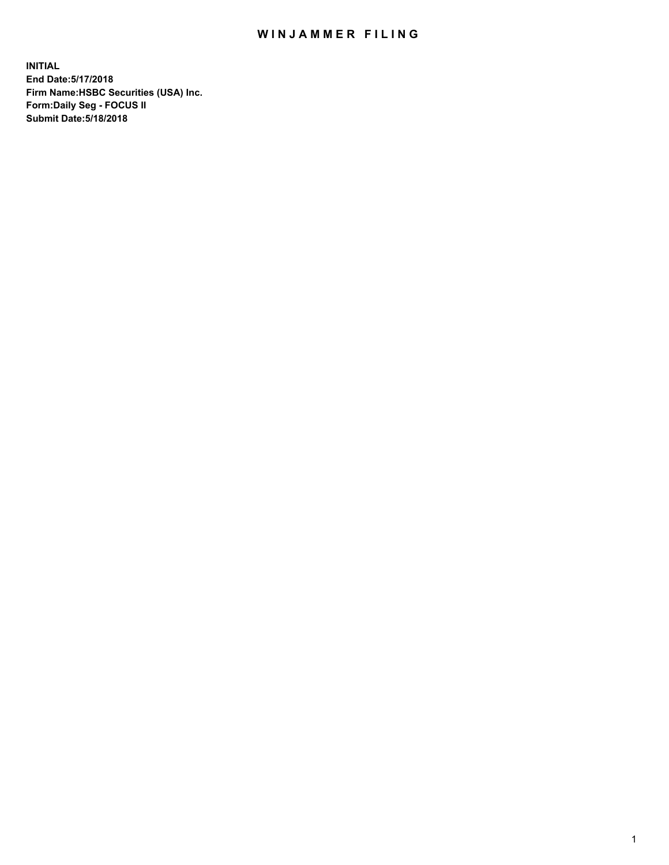## WIN JAMMER FILING

**INITIAL End Date:5/17/2018 Firm Name:HSBC Securities (USA) Inc. Form:Daily Seg - FOCUS II Submit Date:5/18/2018**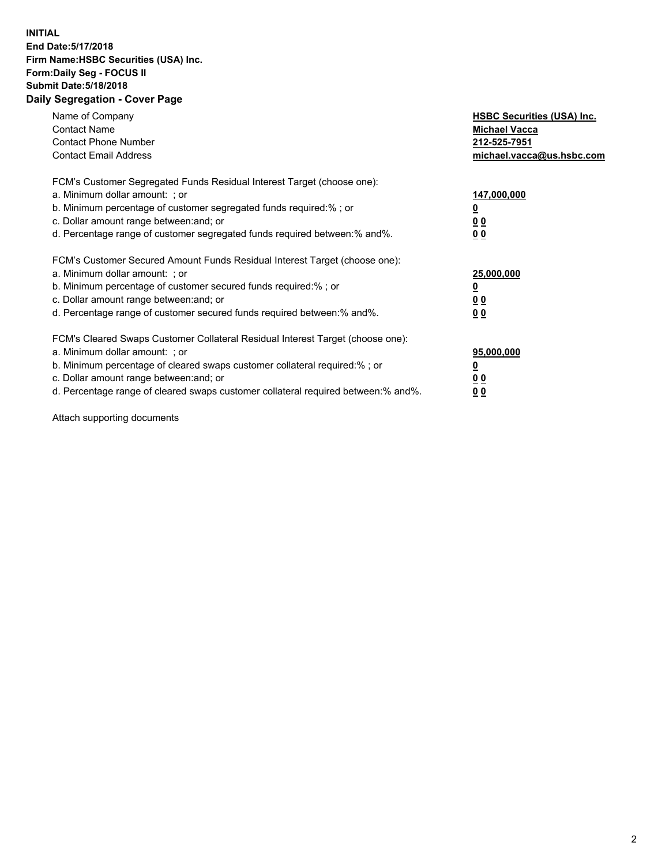## **INITIAL End Date:5/17/2018 Firm Name:HSBC Securities (USA) Inc. Form:Daily Seg - FOCUS II Submit Date:5/18/2018 Daily Segregation - Cover Page**

| Name of Company<br><b>Contact Name</b><br><b>Contact Phone Number</b><br><b>Contact Email Address</b>                                                                                                                                                                                                                         | <b>HSBC Securities (USA) Inc.</b><br><b>Michael Vacca</b><br>212-525-7951<br>michael.vacca@us.hsbc.com |
|-------------------------------------------------------------------------------------------------------------------------------------------------------------------------------------------------------------------------------------------------------------------------------------------------------------------------------|--------------------------------------------------------------------------------------------------------|
| FCM's Customer Segregated Funds Residual Interest Target (choose one):<br>a. Minimum dollar amount: ; or<br>b. Minimum percentage of customer segregated funds required:%; or<br>c. Dollar amount range between: and; or<br>d. Percentage range of customer segregated funds required between: % and %.                       | 147,000,000<br><u>0</u><br>00<br>00                                                                    |
| FCM's Customer Secured Amount Funds Residual Interest Target (choose one):<br>a. Minimum dollar amount: ; or<br>b. Minimum percentage of customer secured funds required:%; or<br>c. Dollar amount range between: and; or<br>d. Percentage range of customer secured funds required between:% and%.                           | 25,000,000<br><u>00</u><br>0 <sub>0</sub>                                                              |
| FCM's Cleared Swaps Customer Collateral Residual Interest Target (choose one):<br>a. Minimum dollar amount: ; or<br>b. Minimum percentage of cleared swaps customer collateral required:%; or<br>c. Dollar amount range between: and; or<br>d. Percentage range of cleared swaps customer collateral required between:% and%. | 95,000,000<br><u>0</u><br><u>00</u><br><u>00</u>                                                       |

Attach supporting documents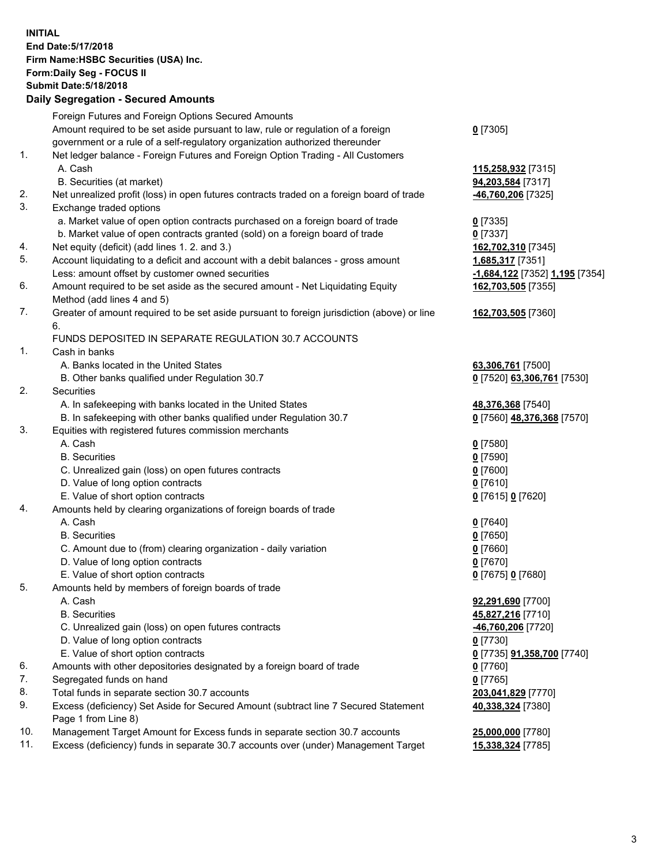**INITIAL End Date:5/17/2018 Firm Name:HSBC Securities (USA) Inc. Form:Daily Seg - FOCUS II Submit Date:5/18/2018 Daily Segregation - Secured Amounts**

Foreign Futures and Foreign Options Secured Amounts Amount required to be set aside pursuant to law, rule or regulation of a foreign government or a rule of a self-regulatory organization authorized thereunder **0** [7305] 1. Net ledger balance - Foreign Futures and Foreign Option Trading - All Customers A. Cash **115,258,932** [7315] B. Securities (at market) **94,203,584** [7317] 2. Net unrealized profit (loss) in open futures contracts traded on a foreign board of trade **-46,760,206** [7325] 3. Exchange traded options a. Market value of open option contracts purchased on a foreign board of trade **0** [7335] b. Market value of open contracts granted (sold) on a foreign board of trade **0** [7337] 4. Net equity (deficit) (add lines 1. 2. and 3.) **162,702,310** [7345] 5. Account liquidating to a deficit and account with a debit balances - gross amount **1,685,317** [7351] Less: amount offset by customer owned securities **-1,684,122** [7352] **1,195** [7354] 6. Amount required to be set aside as the secured amount - Net Liquidating Equity Method (add lines 4 and 5) **162,703,505** [7355] 7. Greater of amount required to be set aside pursuant to foreign jurisdiction (above) or line 6. **162,703,505** [7360] FUNDS DEPOSITED IN SEPARATE REGULATION 30.7 ACCOUNTS 1. Cash in banks A. Banks located in the United States **63,306,761** [7500] B. Other banks qualified under Regulation 30.7 **0** [7520] **63,306,761** [7530] 2. Securities A. In safekeeping with banks located in the United States **48,376,368** [7540] B. In safekeeping with other banks qualified under Regulation 30.7 **0** [7560] **48,376,368** [7570] 3. Equities with registered futures commission merchants A. Cash **0** [7580] B. Securities **0** [7590] C. Unrealized gain (loss) on open futures contracts **0** [7600] D. Value of long option contracts **0** [7610] E. Value of short option contracts **0** [7615] **0** [7620] 4. Amounts held by clearing organizations of foreign boards of trade A. Cash **0** [7640] B. Securities **0** [7650] C. Amount due to (from) clearing organization - daily variation **0** [7660] D. Value of long option contracts **0** [7670] E. Value of short option contracts **0** [7675] **0** [7680] 5. Amounts held by members of foreign boards of trade A. Cash **92,291,690** [7700] B. Securities **45,827,216** [7710] C. Unrealized gain (loss) on open futures contracts **-46,760,206** [7720] D. Value of long option contracts **0** [7730] E. Value of short option contracts **0** [7735] **91,358,700** [7740] 6. Amounts with other depositories designated by a foreign board of trade **0** [7760] 7. Segregated funds on hand **0** [7765] 8. Total funds in separate section 30.7 accounts **203,041,829** [7770] 9. Excess (deficiency) Set Aside for Secured Amount (subtract line 7 Secured Statement Page 1 from Line 8) **40,338,324** [7380] 10. Management Target Amount for Excess funds in separate section 30.7 accounts **25,000,000** [7780] 11. Excess (deficiency) funds in separate 30.7 accounts over (under) Management Target **15,338,324** [7785]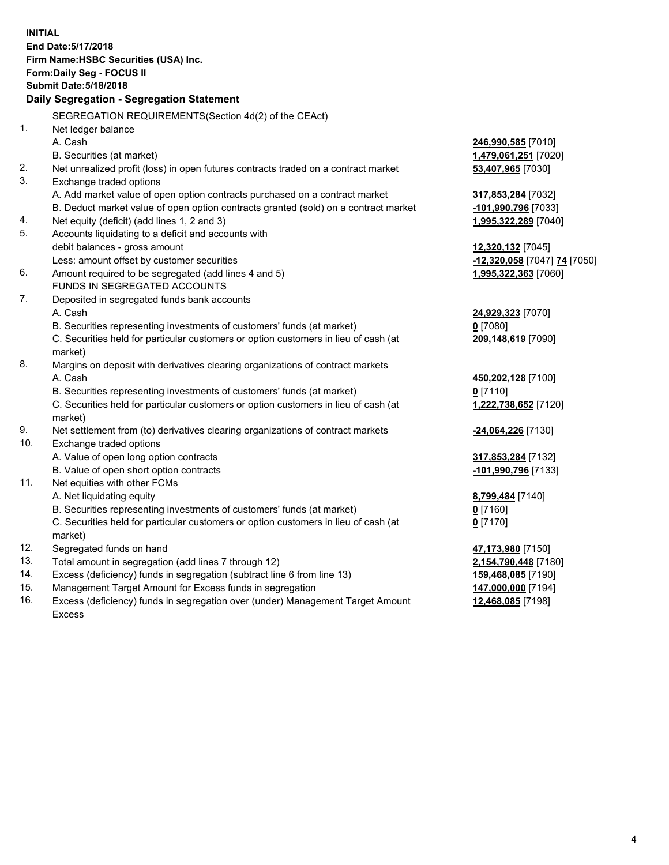**INITIAL End Date:5/17/2018 Firm Name:HSBC Securities (USA) Inc. Form:Daily Seg - FOCUS II Submit Date:5/18/2018 Daily Segregation - Segregation Statement** SEGREGATION REQUIREMENTS(Section 4d(2) of the CEAct) 1. Net ledger balance A. Cash **246,990,585** [7010] B. Securities (at market) **1,479,061,251** [7020] 2. Net unrealized profit (loss) in open futures contracts traded on a contract market **53,407,965** [7030] 3. Exchange traded options A. Add market value of open option contracts purchased on a contract market **317,853,284** [7032] B. Deduct market value of open option contracts granted (sold) on a contract market **-101,990,796** [7033] 4. Net equity (deficit) (add lines 1, 2 and 3) **1,995,322,289** [7040] 5. Accounts liquidating to a deficit and accounts with debit balances - gross amount **12,320,132** [7045] Less: amount offset by customer securities **-12,320,058** [7047] **74** [7050] 6. Amount required to be segregated (add lines 4 and 5) **1,995,322,363** [7060] FUNDS IN SEGREGATED ACCOUNTS 7. Deposited in segregated funds bank accounts A. Cash **24,929,323** [7070] B. Securities representing investments of customers' funds (at market) **0** [7080] C. Securities held for particular customers or option customers in lieu of cash (at market) **209,148,619** [7090] 8. Margins on deposit with derivatives clearing organizations of contract markets A. Cash **450,202,128** [7100] B. Securities representing investments of customers' funds (at market) **0** [7110] C. Securities held for particular customers or option customers in lieu of cash (at market) **1,222,738,652** [7120] 9. Net settlement from (to) derivatives clearing organizations of contract markets **-24,064,226** [7130] 10. Exchange traded options A. Value of open long option contracts **317,853,284** [7132] B. Value of open short option contracts **-101,990,796** [7133] 11. Net equities with other FCMs A. Net liquidating equity **8,799,484** [7140] B. Securities representing investments of customers' funds (at market) **0** [7160] C. Securities held for particular customers or option customers in lieu of cash (at market) **0** [7170] 12. Segregated funds on hand **47,173,980** [7150] 13. Total amount in segregation (add lines 7 through 12) **2,154,790,448** [7180] 14. Excess (deficiency) funds in segregation (subtract line 6 from line 13) **159,468,085** [7190] 15. Management Target Amount for Excess funds in segregation **147,000,000** [7194]

16. Excess (deficiency) funds in segregation over (under) Management Target Amount Excess

**12,468,085** [7198]